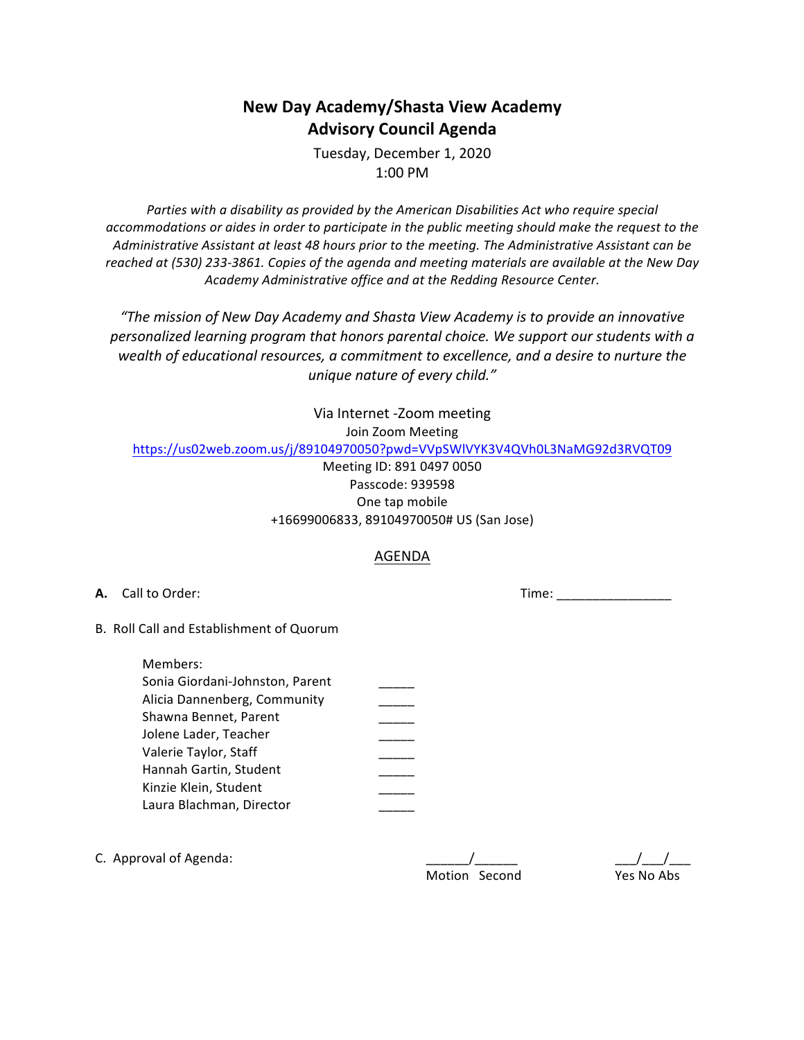## **New Day Academy/Shasta View Academy Advisory Council Agenda**

Tuesday, December 1, 2020 1:00 PM

Parties with a disability as provided by the American Disabilities Act who require special accommodations or aides in order to participate in the public meeting should make the request to the Administrative Assistant at least 48 hours prior to the meeting. The Administrative Assistant can be reached at (530) 233-3861. Copies of the agenda and meeting materials are available at the New Day *Academy Administrative office and at the Redding Resource Center.*

"The mission of New Day Academy and Shasta View Academy is to provide an innovative personalized learning program that honors parental choice. We support our students with a wealth of educational resources, a commitment to excellence, and a desire to nurture the *unique nature of every child."* 

Via Internet -Zoom meeting

Join Zoom Meeting

https://us02web.zoom.us/j/89104970050?pwd=VVpSWlVYK3V4QVh0L3NaMG92d3RVQT09

Meeting ID: 891 0497 0050 Passcode: 939598 One tap mobile +16699006833, 89104970050# US (San Jose)

## AGENDA

**A.** Call to Order: **A. Call to Order:** *Call to Order: Call to Order: Call to Order:* **<b>***Call to Order: Call to Order: Call to Order: Call to Order:* **<b>***Call to Order: Call to Order: Call to O* 

B. Roll Call and Establishment of Quorum

| Members:                        |  |
|---------------------------------|--|
| Sonia Giordani-Johnston, Parent |  |
| Alicia Dannenberg, Community    |  |
| Shawna Bennet, Parent           |  |
| Jolene Lader, Teacher           |  |
| Valerie Taylor, Staff           |  |
| Hannah Gartin, Student          |  |
| Kinzie Klein, Student           |  |
| Laura Blachman, Director        |  |

| C. Approval of Agenda: |               |            |
|------------------------|---------------|------------|
|                        | Motion Second | Yes No Ahs |

Motion Second Yes No Abs